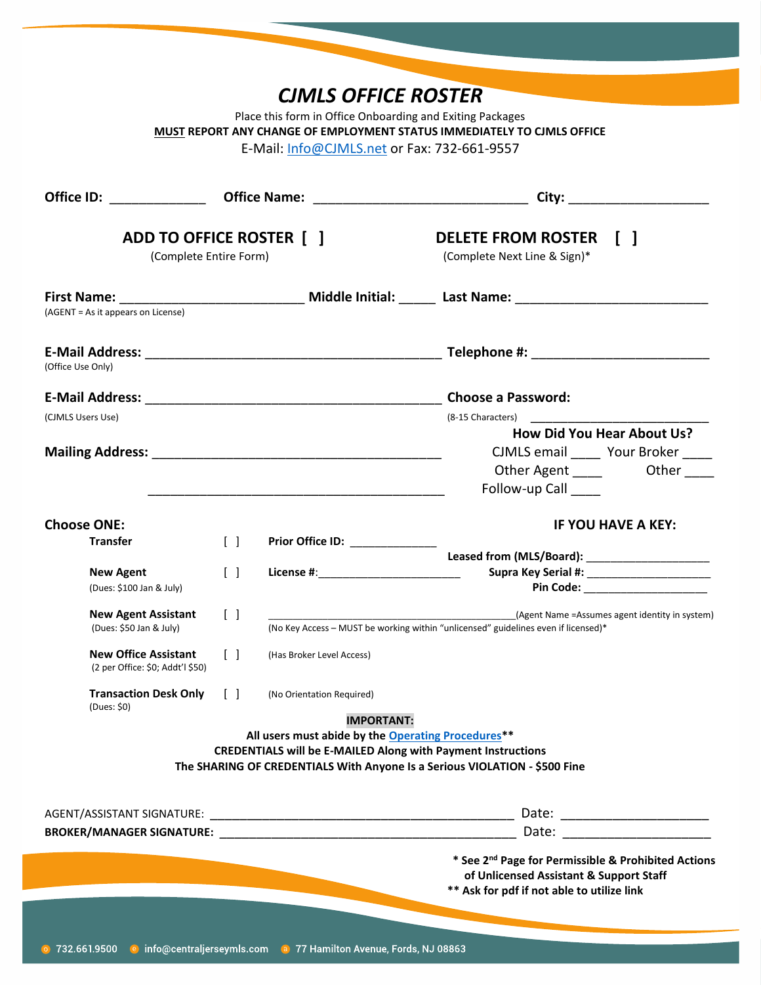|                                                                                                                                                                                                                                     |                                   | <b>CJMLS OFFICE ROSTER</b>                                                                                                                                                                              |                                                                                                                                                                                                                                |
|-------------------------------------------------------------------------------------------------------------------------------------------------------------------------------------------------------------------------------------|-----------------------------------|---------------------------------------------------------------------------------------------------------------------------------------------------------------------------------------------------------|--------------------------------------------------------------------------------------------------------------------------------------------------------------------------------------------------------------------------------|
|                                                                                                                                                                                                                                     |                                   | Place this form in Office Onboarding and Exiting Packages<br>E-Mail: Info@CJMLS.net or Fax: 732-661-9557                                                                                                | MUST REPORT ANY CHANGE OF EMPLOYMENT STATUS IMMEDIATELY TO CIMLS OFFICE                                                                                                                                                        |
| Office ID: ______________________ Office Name: _________________________________                                                                                                                                                    |                                   |                                                                                                                                                                                                         |                                                                                                                                                                                                                                |
| ADD TO OFFICE ROSTER [ ]<br>(Complete Entire Form)                                                                                                                                                                                  |                                   |                                                                                                                                                                                                         | <b>DELETE FROM ROSTER</b><br>$\Box$<br>(Complete Next Line & Sign)*                                                                                                                                                            |
| (AGENT = As it appears on License)                                                                                                                                                                                                  |                                   |                                                                                                                                                                                                         | First Name: _________________________________ Middle Initial: _______ Last Name: _____________________________                                                                                                                 |
|                                                                                                                                                                                                                                     |                                   |                                                                                                                                                                                                         |                                                                                                                                                                                                                                |
| (Office Use Only)                                                                                                                                                                                                                   |                                   |                                                                                                                                                                                                         |                                                                                                                                                                                                                                |
|                                                                                                                                                                                                                                     |                                   |                                                                                                                                                                                                         |                                                                                                                                                                                                                                |
| (CJMLS Users Use)                                                                                                                                                                                                                   |                                   |                                                                                                                                                                                                         | (8-15 Characters) and the state of the state of the state of the state of the state of the state of the state of the state of the state of the state of the state of the state of the state of the state of the state of the s |
| Mailing Address: Management of the Mailing Address:                                                                                                                                                                                 |                                   |                                                                                                                                                                                                         | How Did You Hear About Us?<br>CJMLS email ______ Your Broker _____<br>Other Agent ______ Other ____<br>Follow-up Call                                                                                                          |
| <b>Choose ONE:</b>                                                                                                                                                                                                                  |                                   |                                                                                                                                                                                                         | <b>IF YOU HAVE A KEY:</b>                                                                                                                                                                                                      |
| <b>Transfer</b>                                                                                                                                                                                                                     | $\begin{bmatrix} 1 \end{bmatrix}$ | Prior Office ID: ______________                                                                                                                                                                         |                                                                                                                                                                                                                                |
| <b>New Agent</b><br>(Dues: \$100 Jan & July)                                                                                                                                                                                        | $\begin{bmatrix} \end{bmatrix}$   | License #: _______________________                                                                                                                                                                      | Pin Code: _______________________                                                                                                                                                                                              |
| <b>New Agent Assistant</b><br>(Dues: \$50 Jan & July)                                                                                                                                                                               | $\begin{bmatrix} \end{bmatrix}$   |                                                                                                                                                                                                         | (Agent Name = Assumes agent identity in system)<br>(No Key Access - MUST be working within "unlicensed" guidelines even if licensed)*                                                                                          |
| <b>New Office Assistant</b><br>(2 per Office: \$0; Addt'l \$50)                                                                                                                                                                     | $\begin{bmatrix} \end{bmatrix}$   | (Has Broker Level Access)                                                                                                                                                                               |                                                                                                                                                                                                                                |
| <b>Transaction Desk Only</b>                                                                                                                                                                                                        | $\Box$                            | (No Orientation Required)                                                                                                                                                                               |                                                                                                                                                                                                                                |
| (Dues: \$0)                                                                                                                                                                                                                         |                                   | <b>IMPORTANT:</b>                                                                                                                                                                                       |                                                                                                                                                                                                                                |
|                                                                                                                                                                                                                                     |                                   | All users must abide by the Operating Procedures**<br><b>CREDENTIALS will be E-MAILED Along with Payment Instructions</b><br>The SHARING OF CREDENTIALS With Anyone Is a Serious VIOLATION - \$500 Fine |                                                                                                                                                                                                                                |
|                                                                                                                                                                                                                                     |                                   |                                                                                                                                                                                                         |                                                                                                                                                                                                                                |
| <b>BROKER/MANAGER SIGNATURE:</b> THE RESERVENT OF STATE OF STATES AND THE RESERVENT OF STATES OF STATES AND THE RESERVENT OF STATES AND THE RESERVENT OF STATES AND THE STATES OF STATES AND RESPONDENT OF STATES AND RESPONDENT OF |                                   |                                                                                                                                                                                                         | Date: the contract of the contract of the contract of the contract of the contract of the contract of the contract of the contract of the contract of the contract of the contract of the contract of the contract of the cont |
|                                                                                                                                                                                                                                     |                                   |                                                                                                                                                                                                         | * See 2 <sup>nd</sup> Page for Permissible & Prohibited Actions<br>of Unlicensed Assistant & Support Staff<br>** Ask for pdf if not able to utilize link                                                                       |